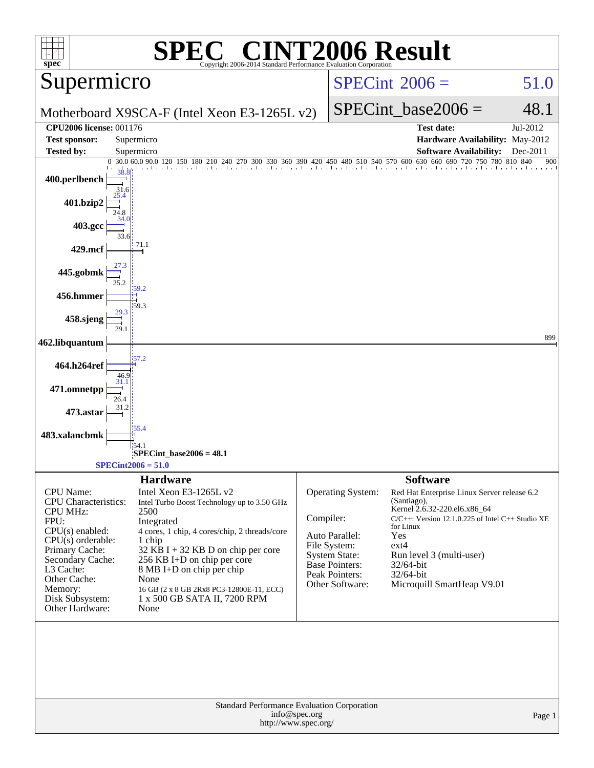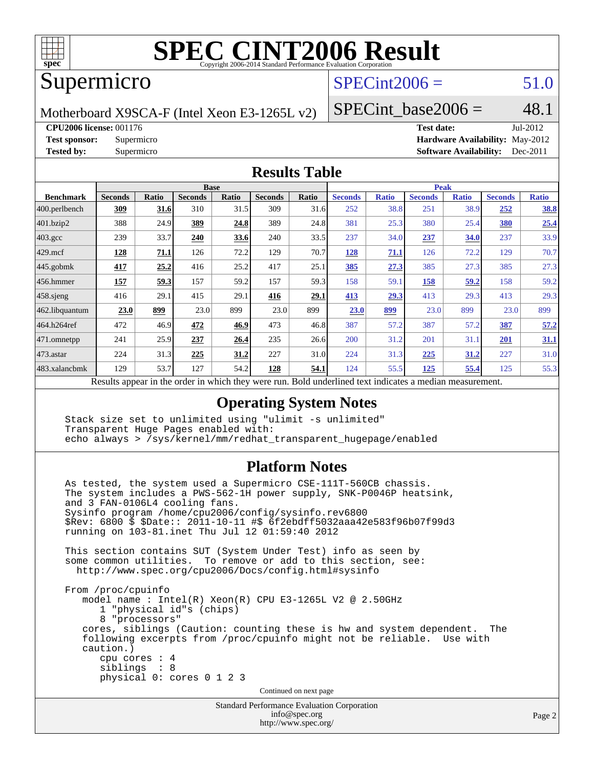

# Supermicro

# $SPECint2006 = 51.0$  $SPECint2006 = 51.0$

Motherboard X9SCA-F (Intel Xeon E3-1265L v2)

SPECint base2006 =  $48.1$ 

**[CPU2006 license:](http://www.spec.org/auto/cpu2006/Docs/result-fields.html#CPU2006license)** 001176 **[Test date:](http://www.spec.org/auto/cpu2006/Docs/result-fields.html#Testdate)** Jul-2012

**[Test sponsor:](http://www.spec.org/auto/cpu2006/Docs/result-fields.html#Testsponsor)** Supermicro **[Hardware Availability:](http://www.spec.org/auto/cpu2006/Docs/result-fields.html#HardwareAvailability)** May-2012 **[Tested by:](http://www.spec.org/auto/cpu2006/Docs/result-fields.html#Testedby)** Supermicro **Supermicro [Software Availability:](http://www.spec.org/auto/cpu2006/Docs/result-fields.html#SoftwareAvailability)** Dec-2011

#### **[Results Table](http://www.spec.org/auto/cpu2006/Docs/result-fields.html#ResultsTable)**

|                                                                                                            | <b>Base</b>    |              |                |       |                |       | <b>Peak</b>    |              |                |              |                |              |
|------------------------------------------------------------------------------------------------------------|----------------|--------------|----------------|-------|----------------|-------|----------------|--------------|----------------|--------------|----------------|--------------|
| <b>Benchmark</b>                                                                                           | <b>Seconds</b> | <b>Ratio</b> | <b>Seconds</b> | Ratio | <b>Seconds</b> | Ratio | <b>Seconds</b> | <b>Ratio</b> | <b>Seconds</b> | <b>Ratio</b> | <b>Seconds</b> | <b>Ratio</b> |
| $ 400$ .perlbench                                                                                          | 309            | 31.6         | 310            | 31.5  | 309            | 31.6  | 252            | 38.8         | 251            | 38.9         | 252            | <b>38.8</b>  |
| 401.bzip2                                                                                                  | 388            | 24.9         | 389            | 24.8  | 389            | 24.8  | 381            | 25.3         | 380            | 25.4         | 380            | 25.4         |
| $403.\mathrm{gcc}$                                                                                         | 239            | 33.7         | 240            | 33.6  | 240            | 33.5  | 237            | 34.0         | 237            | 34.0         | 237            | 33.9         |
| $429$ .mcf                                                                                                 | 128            | 71.1         | 126            | 72.2  | 129            | 70.7  | <u>128</u>     | 71.1         | 126            | 72.2         | 129            | 70.7         |
| $445$ .gobmk                                                                                               | 417            | 25.2         | 416            | 25.2  | 417            | 25.1  | 385            | 27.3         | 385            | 27.3         | 385            | 27.3         |
| $456.$ hmmer                                                                                               | 157            | 59.3         | 157            | 59.2  | 157            | 59.3  | 158            | 59.1         | 158            | 59.2         | 158            | 59.2         |
| $458$ .sjeng                                                                                               | 416            | 29.1         | 415            | 29.1  | 416            | 29.1  | 413            | 29.3         | 413            | 29.3         | 413            | 29.3         |
| 462.libquantum                                                                                             | 23.0           | 899          | 23.0           | 899   | 23.0           | 899   | 23.0           | 899          | 23.0           | 899          | 23.0           | 899          |
| 464.h264ref                                                                                                | 472            | 46.9         | 472            | 46.9  | 473            | 46.8  | 387            | 57.2         | 387            | 57.2         | 387            | 57.2         |
| 471.omnetpp                                                                                                | 241            | 25.9         | 237            | 26.4  | 235            | 26.6  | 200            | 31.2         | 201            | 31.1         | 201            | 31.1         |
| $ 473$ . astar                                                                                             | 224            | 31.3         | 225            | 31.2  | 227            | 31.0  | 224            | 31.3         | 225            | 31.2         | 227            | 31.0         |
| 483.xalancbmk                                                                                              | 129            | 53.7         | 127            | 54.2  | 128            | 54.1  | 124            | 55.5         | 125            | 55.4         | 125            | 55.3         |
| Describe encourage in the conduction withink these weeks more<br>Dald and authority of the traditional and |                |              |                |       |                |       |                |              |                |              |                |              |

Results appear in the [order in which they were run.](http://www.spec.org/auto/cpu2006/Docs/result-fields.html#RunOrder) Bold underlined text [indicates a median measurement.](http://www.spec.org/auto/cpu2006/Docs/result-fields.html#Median)

### **[Operating System Notes](http://www.spec.org/auto/cpu2006/Docs/result-fields.html#OperatingSystemNotes)**

 Stack size set to unlimited using "ulimit -s unlimited" Transparent Huge Pages enabled with: echo always > /sys/kernel/mm/redhat\_transparent\_hugepage/enabled

### **[Platform Notes](http://www.spec.org/auto/cpu2006/Docs/result-fields.html#PlatformNotes)**

Standard Performance Evaluation Corporation As tested, the system used a Supermicro CSE-111T-560CB chassis. The system includes a PWS-562-1H power supply, SNK-P0046P heatsink, and 3 FAN-0106L4 cooling fans. Sysinfo program /home/cpu2006/config/sysinfo.rev6800 \$Rev: 6800 \$ \$Date:: 2011-10-11 #\$ 6f2ebdff5032aaa42e583f96b07f99d3 running on 103-81.inet Thu Jul 12 01:59:40 2012 This section contains SUT (System Under Test) info as seen by some common utilities. To remove or add to this section, see: <http://www.spec.org/cpu2006/Docs/config.html#sysinfo> From /proc/cpuinfo model name : Intel(R) Xeon(R) CPU E3-1265L V2 @ 2.50GHz 1 "physical id"s (chips) 8 "processors" cores, siblings (Caution: counting these is hw and system dependent. The following excerpts from /proc/cpuinfo might not be reliable. Use with caution.) cpu cores : 4 siblings : 8 physical 0: cores 0 1 2 3 Continued on next page

[info@spec.org](mailto:info@spec.org) <http://www.spec.org/>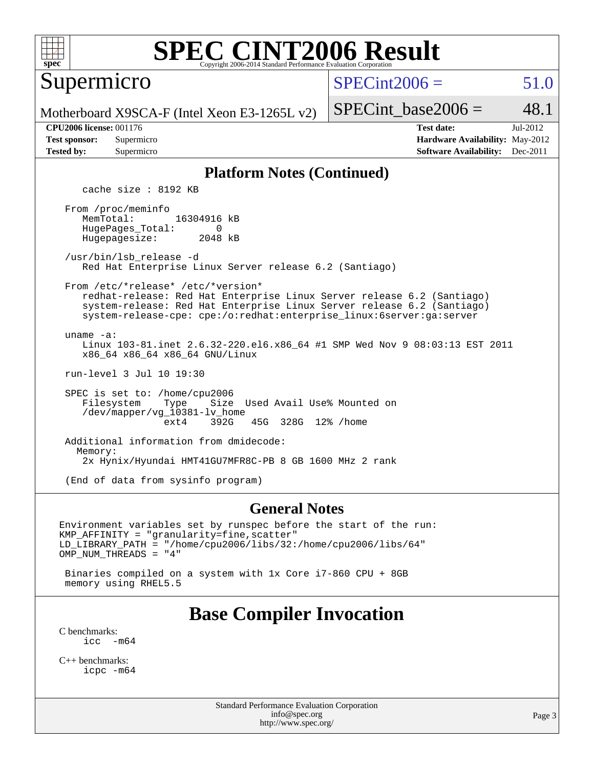

Supermicro

 $SPECint2006 = 51.0$  $SPECint2006 = 51.0$ 

Motherboard X9SCA-F (Intel Xeon E3-1265L v2)

SPECint base2006 =  $48.1$ 

**[CPU2006 license:](http://www.spec.org/auto/cpu2006/Docs/result-fields.html#CPU2006license)** 001176 **[Test date:](http://www.spec.org/auto/cpu2006/Docs/result-fields.html#Testdate)** Jul-2012 **[Test sponsor:](http://www.spec.org/auto/cpu2006/Docs/result-fields.html#Testsponsor)** Supermicro **[Hardware Availability:](http://www.spec.org/auto/cpu2006/Docs/result-fields.html#HardwareAvailability)** May-2012 **[Tested by:](http://www.spec.org/auto/cpu2006/Docs/result-fields.html#Testedby)** Supermicro **Supermicro [Software Availability:](http://www.spec.org/auto/cpu2006/Docs/result-fields.html#SoftwareAvailability)** Dec-2011

#### **[Platform Notes \(Continued\)](http://www.spec.org/auto/cpu2006/Docs/result-fields.html#PlatformNotes)**

cache size : 8192 KB

 From /proc/meminfo MemTotal: 16304916 kB HugePages\_Total: 0<br>Hugepagesize: 2048 kB Hugepagesize:

 /usr/bin/lsb\_release -d Red Hat Enterprise Linux Server release 6.2 (Santiago)

From /etc/\*release\* /etc/\*version\*

 redhat-release: Red Hat Enterprise Linux Server release 6.2 (Santiago) system-release: Red Hat Enterprise Linux Server release 6.2 (Santiago) system-release-cpe: cpe:/o:redhat:enterprise\_linux:6server:ga:server

uname -a:

 Linux 103-81.inet 2.6.32-220.el6.x86\_64 #1 SMP Wed Nov 9 08:03:13 EST 2011 x86\_64 x86\_64 x86\_64 GNU/Linux

run-level 3 Jul 10 19:30

 SPEC is set to: /home/cpu2006 Filesystem Type Size Used Avail Use% Mounted on /dev/mapper/vg\_10381-lv\_home ext4 392G 45G 328G 12% /home

 Additional information from dmidecode: Memory: 2x Hynix/Hyundai HMT41GU7MFR8C-PB 8 GB 1600 MHz 2 rank

(End of data from sysinfo program)

#### **[General Notes](http://www.spec.org/auto/cpu2006/Docs/result-fields.html#GeneralNotes)**

Environment variables set by runspec before the start of the run: KMP\_AFFINITY = "granularity=fine,scatter" LD\_LIBRARY\_PATH = "/home/cpu2006/libs/32:/home/cpu2006/libs/64" OMP\_NUM\_THREADS = "4"

 Binaries compiled on a system with 1x Core i7-860 CPU + 8GB memory using RHEL5.5

## **[Base Compiler Invocation](http://www.spec.org/auto/cpu2006/Docs/result-fields.html#BaseCompilerInvocation)**

[C benchmarks](http://www.spec.org/auto/cpu2006/Docs/result-fields.html#Cbenchmarks):  $\text{icc}$   $-\text{m64}$ 

[C++ benchmarks:](http://www.spec.org/auto/cpu2006/Docs/result-fields.html#CXXbenchmarks) [icpc -m64](http://www.spec.org/cpu2006/results/res2012q3/cpu2006-20120717-23785.flags.html#user_CXXbase_intel_icpc_64bit_fc66a5337ce925472a5c54ad6a0de310)

> Standard Performance Evaluation Corporation [info@spec.org](mailto:info@spec.org) <http://www.spec.org/>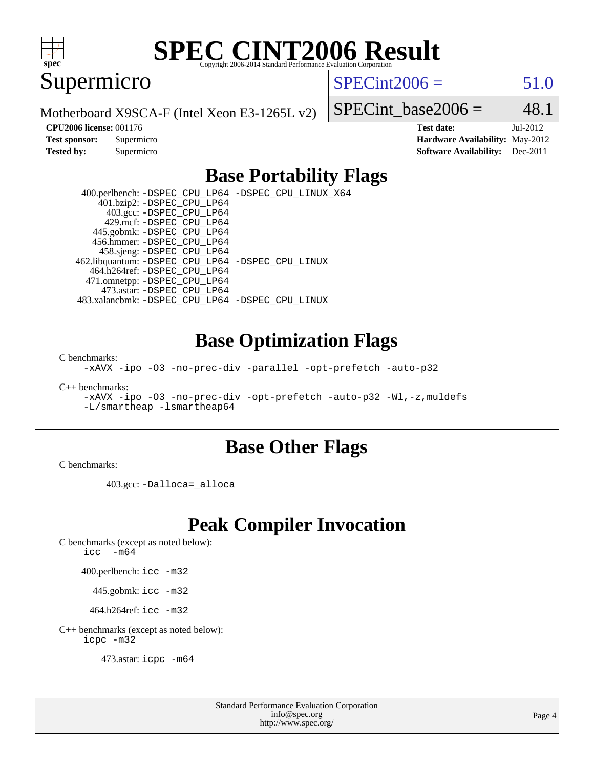

Supermicro

 $SPECint2006 = 51.0$  $SPECint2006 = 51.0$ 

Motherboard X9SCA-F (Intel Xeon E3-1265L v2)

SPECint base2006 =  $48.1$ 

**[CPU2006 license:](http://www.spec.org/auto/cpu2006/Docs/result-fields.html#CPU2006license)** 001176 **[Test date:](http://www.spec.org/auto/cpu2006/Docs/result-fields.html#Testdate)** Jul-2012 **[Test sponsor:](http://www.spec.org/auto/cpu2006/Docs/result-fields.html#Testsponsor)** Supermicro **[Hardware Availability:](http://www.spec.org/auto/cpu2006/Docs/result-fields.html#HardwareAvailability)** May-2012 **[Tested by:](http://www.spec.org/auto/cpu2006/Docs/result-fields.html#Testedby)** Supermicro **Supermicro [Software Availability:](http://www.spec.org/auto/cpu2006/Docs/result-fields.html#SoftwareAvailability)** Dec-2011

## **[Base Portability Flags](http://www.spec.org/auto/cpu2006/Docs/result-fields.html#BasePortabilityFlags)**

 400.perlbench: [-DSPEC\\_CPU\\_LP64](http://www.spec.org/cpu2006/results/res2012q3/cpu2006-20120717-23785.flags.html#b400.perlbench_basePORTABILITY_DSPEC_CPU_LP64) [-DSPEC\\_CPU\\_LINUX\\_X64](http://www.spec.org/cpu2006/results/res2012q3/cpu2006-20120717-23785.flags.html#b400.perlbench_baseCPORTABILITY_DSPEC_CPU_LINUX_X64) 401.bzip2: [-DSPEC\\_CPU\\_LP64](http://www.spec.org/cpu2006/results/res2012q3/cpu2006-20120717-23785.flags.html#suite_basePORTABILITY401_bzip2_DSPEC_CPU_LP64) 403.gcc: [-DSPEC\\_CPU\\_LP64](http://www.spec.org/cpu2006/results/res2012q3/cpu2006-20120717-23785.flags.html#suite_basePORTABILITY403_gcc_DSPEC_CPU_LP64) 429.mcf: [-DSPEC\\_CPU\\_LP64](http://www.spec.org/cpu2006/results/res2012q3/cpu2006-20120717-23785.flags.html#suite_basePORTABILITY429_mcf_DSPEC_CPU_LP64) 445.gobmk: [-DSPEC\\_CPU\\_LP64](http://www.spec.org/cpu2006/results/res2012q3/cpu2006-20120717-23785.flags.html#suite_basePORTABILITY445_gobmk_DSPEC_CPU_LP64) 456.hmmer: [-DSPEC\\_CPU\\_LP64](http://www.spec.org/cpu2006/results/res2012q3/cpu2006-20120717-23785.flags.html#suite_basePORTABILITY456_hmmer_DSPEC_CPU_LP64) 458.sjeng: [-DSPEC\\_CPU\\_LP64](http://www.spec.org/cpu2006/results/res2012q3/cpu2006-20120717-23785.flags.html#suite_basePORTABILITY458_sjeng_DSPEC_CPU_LP64) 462.libquantum: [-DSPEC\\_CPU\\_LP64](http://www.spec.org/cpu2006/results/res2012q3/cpu2006-20120717-23785.flags.html#suite_basePORTABILITY462_libquantum_DSPEC_CPU_LP64) [-DSPEC\\_CPU\\_LINUX](http://www.spec.org/cpu2006/results/res2012q3/cpu2006-20120717-23785.flags.html#b462.libquantum_baseCPORTABILITY_DSPEC_CPU_LINUX) 464.h264ref: [-DSPEC\\_CPU\\_LP64](http://www.spec.org/cpu2006/results/res2012q3/cpu2006-20120717-23785.flags.html#suite_basePORTABILITY464_h264ref_DSPEC_CPU_LP64) 471.omnetpp: [-DSPEC\\_CPU\\_LP64](http://www.spec.org/cpu2006/results/res2012q3/cpu2006-20120717-23785.flags.html#suite_basePORTABILITY471_omnetpp_DSPEC_CPU_LP64) 473.astar: [-DSPEC\\_CPU\\_LP64](http://www.spec.org/cpu2006/results/res2012q3/cpu2006-20120717-23785.flags.html#suite_basePORTABILITY473_astar_DSPEC_CPU_LP64) 483.xalancbmk: [-DSPEC\\_CPU\\_LP64](http://www.spec.org/cpu2006/results/res2012q3/cpu2006-20120717-23785.flags.html#suite_basePORTABILITY483_xalancbmk_DSPEC_CPU_LP64) [-DSPEC\\_CPU\\_LINUX](http://www.spec.org/cpu2006/results/res2012q3/cpu2006-20120717-23785.flags.html#b483.xalancbmk_baseCXXPORTABILITY_DSPEC_CPU_LINUX)

### **[Base Optimization Flags](http://www.spec.org/auto/cpu2006/Docs/result-fields.html#BaseOptimizationFlags)**

[C benchmarks](http://www.spec.org/auto/cpu2006/Docs/result-fields.html#Cbenchmarks):

[-xAVX](http://www.spec.org/cpu2006/results/res2012q3/cpu2006-20120717-23785.flags.html#user_CCbase_f-xAVX) [-ipo](http://www.spec.org/cpu2006/results/res2012q3/cpu2006-20120717-23785.flags.html#user_CCbase_f-ipo) [-O3](http://www.spec.org/cpu2006/results/res2012q3/cpu2006-20120717-23785.flags.html#user_CCbase_f-O3) [-no-prec-div](http://www.spec.org/cpu2006/results/res2012q3/cpu2006-20120717-23785.flags.html#user_CCbase_f-no-prec-div) [-parallel](http://www.spec.org/cpu2006/results/res2012q3/cpu2006-20120717-23785.flags.html#user_CCbase_f-parallel) [-opt-prefetch](http://www.spec.org/cpu2006/results/res2012q3/cpu2006-20120717-23785.flags.html#user_CCbase_f-opt-prefetch) [-auto-p32](http://www.spec.org/cpu2006/results/res2012q3/cpu2006-20120717-23785.flags.html#user_CCbase_f-auto-p32)

[C++ benchmarks:](http://www.spec.org/auto/cpu2006/Docs/result-fields.html#CXXbenchmarks)

[-xAVX](http://www.spec.org/cpu2006/results/res2012q3/cpu2006-20120717-23785.flags.html#user_CXXbase_f-xAVX) [-ipo](http://www.spec.org/cpu2006/results/res2012q3/cpu2006-20120717-23785.flags.html#user_CXXbase_f-ipo) [-O3](http://www.spec.org/cpu2006/results/res2012q3/cpu2006-20120717-23785.flags.html#user_CXXbase_f-O3) [-no-prec-div](http://www.spec.org/cpu2006/results/res2012q3/cpu2006-20120717-23785.flags.html#user_CXXbase_f-no-prec-div) [-opt-prefetch](http://www.spec.org/cpu2006/results/res2012q3/cpu2006-20120717-23785.flags.html#user_CXXbase_f-opt-prefetch) [-auto-p32](http://www.spec.org/cpu2006/results/res2012q3/cpu2006-20120717-23785.flags.html#user_CXXbase_f-auto-p32) [-Wl,-z,muldefs](http://www.spec.org/cpu2006/results/res2012q3/cpu2006-20120717-23785.flags.html#user_CXXbase_link_force_multiple1_74079c344b956b9658436fd1b6dd3a8a) [-L/smartheap -lsmartheap64](http://www.spec.org/cpu2006/results/res2012q3/cpu2006-20120717-23785.flags.html#user_CXXbase_SmartHeap64_5e654037dadeae1fe403ab4b4466e60b)

### **[Base Other Flags](http://www.spec.org/auto/cpu2006/Docs/result-fields.html#BaseOtherFlags)**

[C benchmarks](http://www.spec.org/auto/cpu2006/Docs/result-fields.html#Cbenchmarks):

403.gcc: [-Dalloca=\\_alloca](http://www.spec.org/cpu2006/results/res2012q3/cpu2006-20120717-23785.flags.html#b403.gcc_baseEXTRA_CFLAGS_Dalloca_be3056838c12de2578596ca5467af7f3)

# **[Peak Compiler Invocation](http://www.spec.org/auto/cpu2006/Docs/result-fields.html#PeakCompilerInvocation)**

[C benchmarks \(except as noted below\)](http://www.spec.org/auto/cpu2006/Docs/result-fields.html#Cbenchmarksexceptasnotedbelow):

icc  $-m64$ 

400.perlbench: [icc -m32](http://www.spec.org/cpu2006/results/res2012q3/cpu2006-20120717-23785.flags.html#user_peakCCLD400_perlbench_intel_icc_a6a621f8d50482236b970c6ac5f55f93)

445.gobmk: [icc -m32](http://www.spec.org/cpu2006/results/res2012q3/cpu2006-20120717-23785.flags.html#user_peakCCLD445_gobmk_intel_icc_a6a621f8d50482236b970c6ac5f55f93)

464.h264ref: [icc -m32](http://www.spec.org/cpu2006/results/res2012q3/cpu2006-20120717-23785.flags.html#user_peakCCLD464_h264ref_intel_icc_a6a621f8d50482236b970c6ac5f55f93)

[C++ benchmarks \(except as noted below\):](http://www.spec.org/auto/cpu2006/Docs/result-fields.html#CXXbenchmarksexceptasnotedbelow) [icpc -m32](http://www.spec.org/cpu2006/results/res2012q3/cpu2006-20120717-23785.flags.html#user_CXXpeak_intel_icpc_4e5a5ef1a53fd332b3c49e69c3330699)

473.astar: [icpc -m64](http://www.spec.org/cpu2006/results/res2012q3/cpu2006-20120717-23785.flags.html#user_peakCXXLD473_astar_intel_icpc_64bit_fc66a5337ce925472a5c54ad6a0de310)

Standard Performance Evaluation Corporation [info@spec.org](mailto:info@spec.org) <http://www.spec.org/>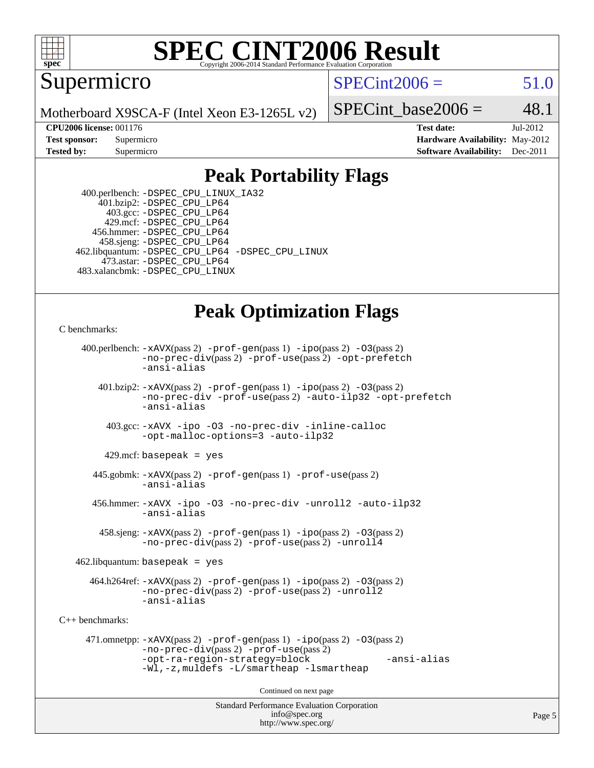

### **[SPEC CINT2006 Result](http://www.spec.org/auto/cpu2006/Docs/result-fields.html#SPECCINT2006Result)** Copyright 2006-2014 Standard Performance Evaluation C

Supermicro

 $SPECint2006 = 51.0$  $SPECint2006 = 51.0$ 

Motherboard X9SCA-F (Intel Xeon E3-1265L v2)

SPECint base2006 =  $48.1$ 

**[CPU2006 license:](http://www.spec.org/auto/cpu2006/Docs/result-fields.html#CPU2006license)** 001176 **[Test date:](http://www.spec.org/auto/cpu2006/Docs/result-fields.html#Testdate)** Jul-2012 **[Test sponsor:](http://www.spec.org/auto/cpu2006/Docs/result-fields.html#Testsponsor)** Supermicro Supermicro **[Hardware Availability:](http://www.spec.org/auto/cpu2006/Docs/result-fields.html#HardwareAvailability)** May-2012 **[Tested by:](http://www.spec.org/auto/cpu2006/Docs/result-fields.html#Testedby)** Supermicro **Supermicro [Software Availability:](http://www.spec.org/auto/cpu2006/Docs/result-fields.html#SoftwareAvailability)** Dec-2011

# **[Peak Portability Flags](http://www.spec.org/auto/cpu2006/Docs/result-fields.html#PeakPortabilityFlags)**

 400.perlbench: [-DSPEC\\_CPU\\_LINUX\\_IA32](http://www.spec.org/cpu2006/results/res2012q3/cpu2006-20120717-23785.flags.html#b400.perlbench_peakCPORTABILITY_DSPEC_CPU_LINUX_IA32) 401.bzip2: [-DSPEC\\_CPU\\_LP64](http://www.spec.org/cpu2006/results/res2012q3/cpu2006-20120717-23785.flags.html#suite_peakPORTABILITY401_bzip2_DSPEC_CPU_LP64) 403.gcc: [-DSPEC\\_CPU\\_LP64](http://www.spec.org/cpu2006/results/res2012q3/cpu2006-20120717-23785.flags.html#suite_peakPORTABILITY403_gcc_DSPEC_CPU_LP64) 429.mcf: [-DSPEC\\_CPU\\_LP64](http://www.spec.org/cpu2006/results/res2012q3/cpu2006-20120717-23785.flags.html#suite_peakPORTABILITY429_mcf_DSPEC_CPU_LP64) 456.hmmer: [-DSPEC\\_CPU\\_LP64](http://www.spec.org/cpu2006/results/res2012q3/cpu2006-20120717-23785.flags.html#suite_peakPORTABILITY456_hmmer_DSPEC_CPU_LP64) 458.sjeng: [-DSPEC\\_CPU\\_LP64](http://www.spec.org/cpu2006/results/res2012q3/cpu2006-20120717-23785.flags.html#suite_peakPORTABILITY458_sjeng_DSPEC_CPU_LP64) 462.libquantum: [-DSPEC\\_CPU\\_LP64](http://www.spec.org/cpu2006/results/res2012q3/cpu2006-20120717-23785.flags.html#suite_peakPORTABILITY462_libquantum_DSPEC_CPU_LP64) [-DSPEC\\_CPU\\_LINUX](http://www.spec.org/cpu2006/results/res2012q3/cpu2006-20120717-23785.flags.html#b462.libquantum_peakCPORTABILITY_DSPEC_CPU_LINUX) 473.astar: [-DSPEC\\_CPU\\_LP64](http://www.spec.org/cpu2006/results/res2012q3/cpu2006-20120717-23785.flags.html#suite_peakPORTABILITY473_astar_DSPEC_CPU_LP64) 483.xalancbmk: [-DSPEC\\_CPU\\_LINUX](http://www.spec.org/cpu2006/results/res2012q3/cpu2006-20120717-23785.flags.html#b483.xalancbmk_peakCXXPORTABILITY_DSPEC_CPU_LINUX)

# **[Peak Optimization Flags](http://www.spec.org/auto/cpu2006/Docs/result-fields.html#PeakOptimizationFlags)**

```
C benchmarks:
```

```
Standard Performance Evaluation Corporation
                                          info@spec.org
     400.perlbench: -xAVX(pass 2) -prof-gen(pass 1) -ipo(pass 2) -O3(pass 2)
                -no-prec-div(pass 2) -prof-use(pass 2) -opt-prefetch
                -ansi-alias
        401.bzip2: -xAVX(pass 2) -prof-gen(pass 1) -ipo(pass 2) -O3(pass 2)
                -no-prec-div -prof-use(pass 2) -auto-ilp32 -opt-prefetch
                -ansi-alias
          403.gcc: -xAVX -ipo -O3 -no-prec-div -inline-calloc
                -opt-malloc-options=3 -auto-ilp32
         429.mcf: basepeak = yes
       445.gobmk: -xAVX(pass 2) -prof-gen(pass 1) -prof-use(pass 2)
                -ansi-alias
       456.hmmer: -xAVX -ipo -O3 -no-prec-div -unroll2 -auto-ilp32
                -ansi-alias
         458.sjeng: -xAVX(pass 2) -prof-gen(pass 1) -ipo(pass 2) -O3(pass 2)
                -no-prec-div(pass 2) -prof-use(pass 2) -unroll4
    462.libquantum: basepeak = yes
       464.h264ref: -xAVX(pass 2) -prof-gen(pass 1) -ipo(pass 2) -O3(pass 2)
                -no-prec-div(pass 2) -prof-use(pass 2) -unroll2
                -ansi-alias
C++ benchmarks: 
      471.omnetpp: -xAVX(pass 2) -prof-gen(pass 1) -ipo(pass 2) -O3(pass 2)
                -no-prec-div(pass 2) -prof-use(pass 2)
                -opt-ra-region-strategy=block -ansi-alias
                -Wl,-z,muldefs -L/smartheap -lsmartheap
                                        Continued on next page
```
<http://www.spec.org/>